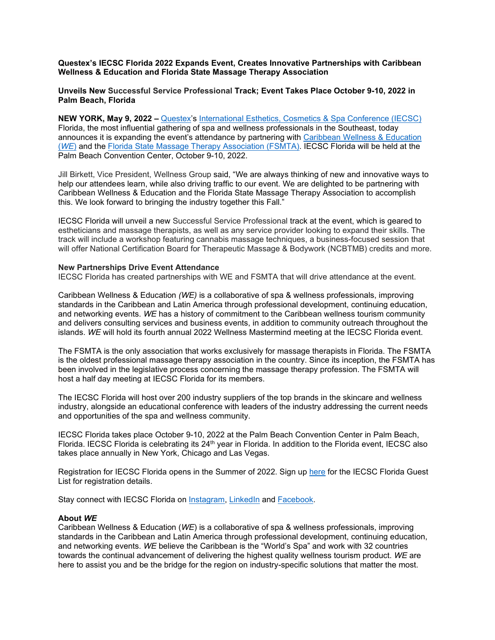**Questex's IECSC Florida 2022 Expands Event, Creates Innovative Partnerships with Caribbean Wellness & Education and Florida State Massage Therapy Association**

**Unveils New Successful Service Professional Track; Event Takes Place October 9-10, 2022 in Palm Beach, Florida**

**NEW YORK, May 9, 2022 –** [Questex's](http://www.questex.com/) [International Esthetics, Cosmetics & Spa Conference \(IECSC\)](https://www.iecscflorida.com/) Florida, the most influential gathering of spa and wellness professionals in the Southeast, today announces it is expanding the event's attendance by partnering with [Caribbean Wellness](https://www.caribbeanwe.com/) & Education (*[WE](https://www.caribbeanwe.com/)*) and the [Florida State Massage Therapy Association](https://www.fsmta.org/) (FSMTA). IECSC Florida will be held at the Palm Beach Convention Center, October 9-10, 2022.

Jill Birkett, Vice President, Wellness Group said, "We are always thinking of new and innovative ways to help our attendees learn, while also driving traffic to our event. We are delighted to be partnering with Caribbean Wellness & Education and the Florida State Massage Therapy Association to accomplish this. We look forward to bringing the industry together this Fall."

IECSC Florida will unveil a new Successful Service Professional track at the event, which is geared to estheticians and massage therapists, as well as any service provider looking to expand their skills. The track will include a workshop featuring cannabis massage techniques, a business-focused session that will offer National Certification Board for Therapeutic Massage & Bodywork (NCBTMB) credits and more.

#### **New Partnerships Drive Event Attendance**

IECSC Florida has created partnerships with WE and FSMTA that will drive attendance at the event.

Caribbean Wellness & Education *(WE)* is a collaborative of spa & wellness professionals, improving standards in the Caribbean and Latin America through professional development, continuing education, and networking events. *WE* has a history of commitment to the Caribbean wellness tourism community and delivers consulting services and business events, in addition to community outreach throughout the islands. *WE* will hold its fourth annual 2022 Wellness Mastermind meeting at the IECSC Florida event.

The FSMTA is the only association that works exclusively for massage therapists in Florida. The FSMTA is the oldest professional massage therapy association in the country. Since its inception, the FSMTA has been involved in the legislative process concerning the massage therapy profession. The FSMTA will host a half day meeting at IECSC Florida for its members.

The IECSC Florida will host over 200 industry suppliers of the top brands in the skincare and wellness industry, alongside an educational conference with leaders of the industry addressing the current needs and opportunities of the spa and wellness community.

IECSC Florida takes place October 9-10, 2022 at the Palm Beach Convention Center in Palm Beach, Florida. IECSC Florida is celebrating its 24<sup>th</sup> year in Florida. In addition to the Florida event, IECSC also takes place annually in New York, Chicago and Las Vegas.

Registration for IECSC Florida opens in the Summer of 2022. Sign up [here](https://www.iecscflorida.com/iecscfloridacom/guest-list) for the IECSC Florida Guest List for registration details.

Stay connect with IECSC Florida on [Instagram,](https://www.instagram.com/iecsc/) [LinkedIn](https://www.linkedin.com/company/79547047/) and [Facebook.](https://www.facebook.com/thespashow)

#### **About** *WE*

Caribbean Wellness & Education (*WE*) is a collaborative of spa & wellness professionals, improving standards in the Caribbean and Latin America through professional development, continuing education, and networking events. *WE* believe the Caribbean is the "World's Spa" and work with 32 countries towards the continual advancement of delivering the highest quality wellness tourism product. *WE* are here to assist you and be the bridge for the region on industry-specific solutions that matter the most.